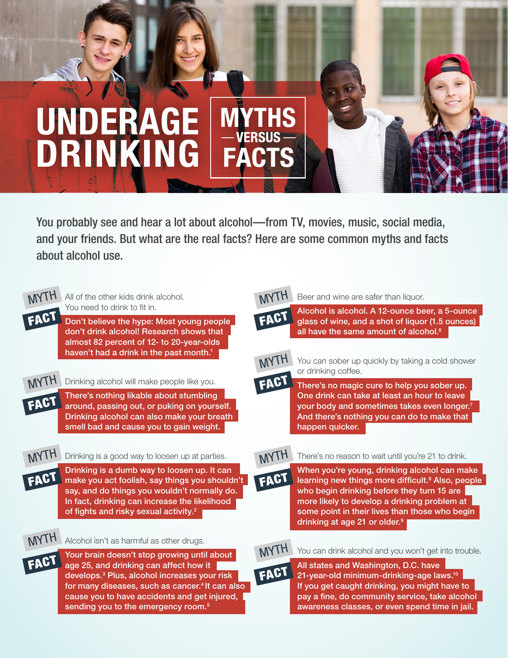## **UNDERAGE YTHS** DRINKING

You probably see and hear a lot about alcohol—from TV, movies, music, social media, and your friends. But what are the real facts? Here are some common myths and facts about alcohol use.



All of the other kids drink alcohol. You need to drink to fit in.

Don't believe the hype: Most young people don't drink alcohol! Research shows that almost 82 percent of 12- to 20-year-olds haven't had a drink in the past month.<sup>1</sup>



Drinking alcohol will make people like you. There's nothing likable about stumbling around, passing out, or puking on yourself.

Drinking alcohol can also make your breath smell bad and cause you to gain weight.



Drinking is a good way to loosen up at parties.

Drinking is a dumb way to loosen up. It can make you act foolish, say things you shouldn't say, and do things you wouldn't normally do. In fact, drinking can increase the likelihood of fights and risky sexual activity.<sup>2</sup>



Alcohol isn't as harmful as other drugs.



Your brain doesn't stop growing until about age 25, and drinking can affect how it develops.3 Plus, alcohol increases your risk for many diseases, such as cancer.<sup>4</sup> It can also cause you to have accidents and get injured, sending you to the emergency room.<sup>5</sup>



Beer and wine are safer than liquor.



Alcohol is alcohol. A 12-ounce beer, a 5-ounce glass of wine, and a shot of liquor (1.5 ounces) all have the same amount of alcohol.<sup>6</sup>



FACT

You can sober up quickly by taking a cold shower or drinking coffee.

There's no magic cure to help you sober up. One drink can take at least an hour to leave your body and sometimes takes even longer.<sup>7</sup> And there's nothing you can do to make that happen quicker.

## MYTH There's no reason to wait until you're 21 to drink.

When you're young, drinking alcohol can make learning new things more difficult.<sup>8</sup> Also, people who begin drinking before they turn 15 are more likely to develop a drinking problem at some point in their lives than those who begin drinking at age 21 or older.<sup>9</sup>



FACT All states and Washington, D.C. have 21-year-old minimum-drinking-age laws.10 If you get caught drinking, you might have to pay a fine, do community service, take alcohol awareness classes, or even spend time in jail.